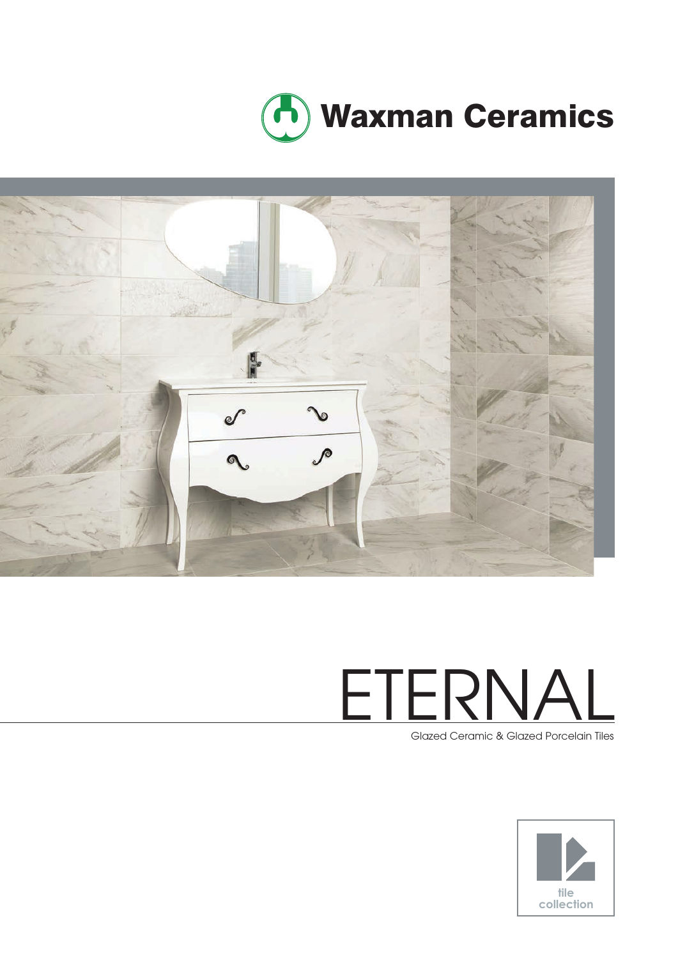



# ETERNAL

Glazed Ceramic & Glazed Porcelain Tiles

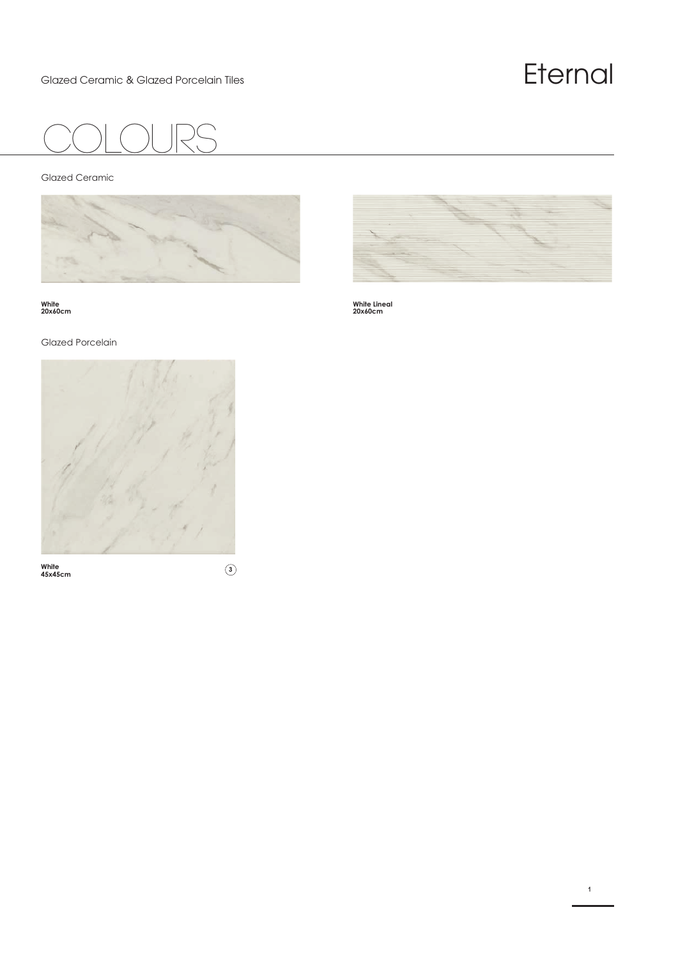## Glazed Ceramic & Glazed Porcelain Tiles  $E$ ternal  $\mathsf{Fermal}$

**1**



Glazed Ceramic



**White 20x60cm**

Glazed Porcelain



**White 45x45cm <sup>3</sup>**



**White Lineal 20x60cm**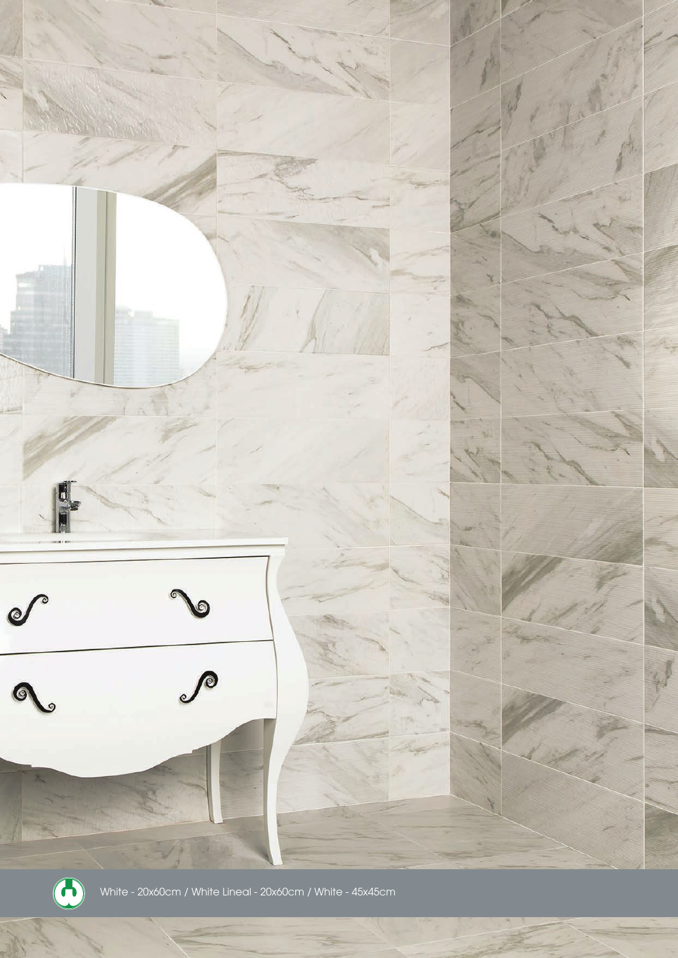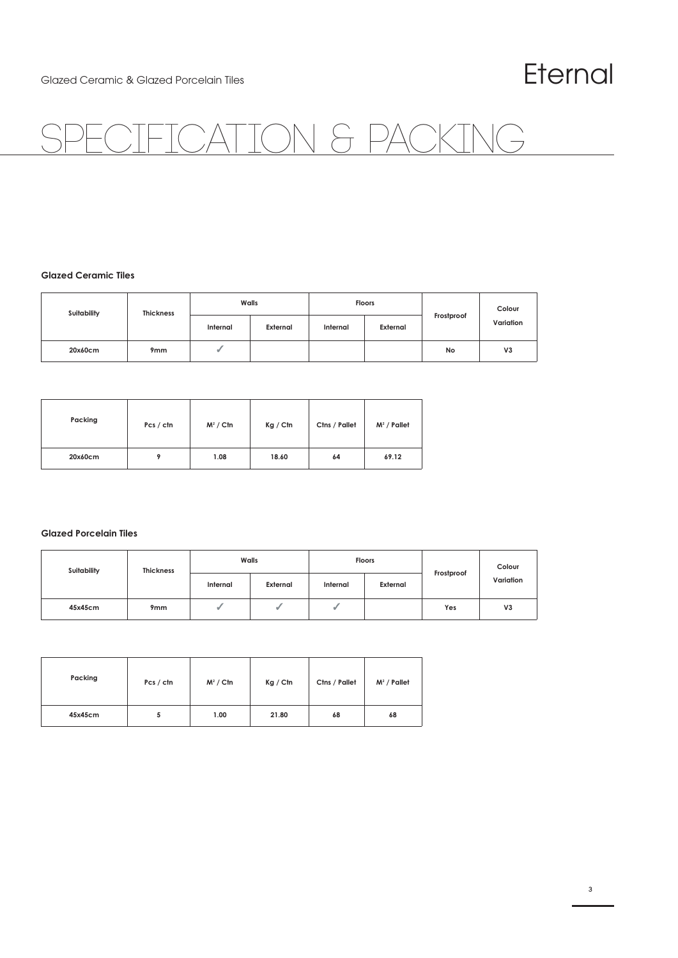## Glazed Ceramic & Glazed Porcelain Tiles  $E$ ternal  $F$

## TON & PACKING

#### **Glazed Ceramic Tiles**

| Suitability | <b>Thickness</b> | Walls    |          | <b>Floors</b> |          |            | Colour         |
|-------------|------------------|----------|----------|---------------|----------|------------|----------------|
|             |                  | Internal | External | Internal      | External | Frostproof | Variation      |
| 20x60cm     | 9 <sub>mm</sub>  |          |          |               |          | No         | V <sub>3</sub> |

| Packing | Pcs / ctn | $M^2 /$ Ctn | Kg / Ctn | Ctns / Pallet | $M^2$ / Pallet |
|---------|-----------|-------------|----------|---------------|----------------|
| 20x60cm |           | 1.08        | 18.60    | 64            | 69.12          |

#### **Glazed Porcelain Tiles**

| Suitability | <b>Thickness</b> | Walls    |          | <b>Floors</b> |          |            | Colour         |
|-------------|------------------|----------|----------|---------------|----------|------------|----------------|
|             |                  | Internal | External | Internal      | External | Frostproof | Variation      |
| 45x45cm     | 9 <sub>mm</sub>  |          |          | w             |          | Yes        | V <sub>3</sub> |

| Packing | Pcs / ctn | $M^2 /$ Ctn | Kg / Ctn | Ctns / Pallet | $M^2$ / Pallet |
|---------|-----------|-------------|----------|---------------|----------------|
| 45x45cm |           | 1.00        | 21.80    | 68            | 68             |